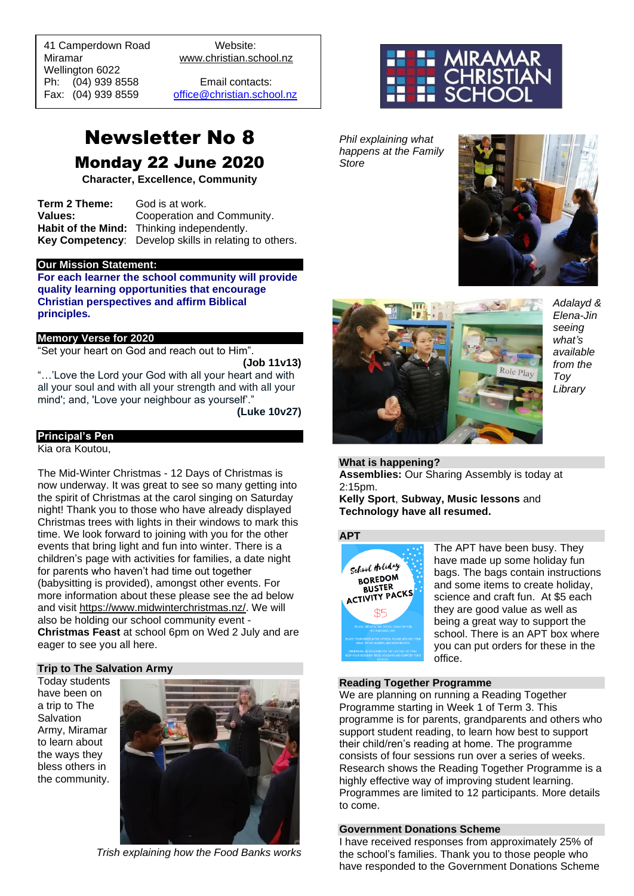41 Camperdown Road Website: Miramar www.christian.school.nz Wellington 6022 Ph: (04) 939 8558 Email contacts:

 $\overline{a}$ 

Fax: (04) 939 8559 [office@christian.school.nz](mailto:office@christian.school.nz)

# Newsletter No 8 Monday 22 June 2020

**Character, Excellence, Community**

**Term 2 Theme:** God is at work. **Values:** Cooperation and Community. **Habit of the Mind:** Thinking independently. **Key Competency**: Develop skills in relating to others.

#### **Our Mission Statement:**

**For each learner the school community will provide quality learning opportunities that encourage Christian perspectives and affirm Biblical principles***.*

#### **Memory Verse for 2020**

"Set your heart on God and reach out to Him".

**(Job 11v13)**

"…'Love the Lord your God with all your heart and with all your soul and with all your strength and with all your mind'; and, 'Love your neighbour as yourself'."

**(Luke 10v27)**

#### **Principal's Pen**

Kia ora Koutou,

The Mid-Winter Christmas - 12 Days of Christmas is now underway. It was great to see so many getting into the spirit of Christmas at the carol singing on Saturday night! Thank you to those who have already displayed Christmas trees with lights in their windows to mark this time. We look forward to joining with you for the other events that bring light and fun into winter. There is a children's page with activities for families, a date night for parents who haven't had time out together (babysitting is provided), amongst other events. For more information about these please see the ad below and visit [https://www.midwinterchristmas.nz/.](https://www.midwinterchristmas.nz/) We will also be holding our school community event - **Christmas Feast** at school 6pm on Wed 2 July and are eager to see you all here.

#### **Trip to The Salvation Army**

Today students have been on a trip to The Salvation Army, Miramar to learn about the ways they bless others in the community.



*Trish explaining how the Food Banks works*



*Phil explaining what happens at the Family Store*





*Adalayd & Elena-Jin seeing what's available from the Toy Library*

#### **What is happening?**

**Assemblies:** Our Sharing Assembly is today at 2:15pm.

**Kelly Sport**, **Subway, Music lessons** and **Technology have all resumed.** 

#### **APT**



The APT have been busy. They have made up some holiday fun bags. The bags contain instructions and some items to create holiday, science and craft fun. At \$5 each they are good value as well as being a great way to support the school. There is an APT box where you can put orders for these in the office.

#### **Reading Together Programme**

We are planning on running a Reading Together Programme starting in Week 1 of Term 3. This programme is for parents, grandparents and others who support student reading, to learn how best to support their child/ren's reading at home. The programme consists of four sessions run over a series of weeks. Research shows the Reading Together Programme is a highly effective way of improving student learning. Programmes are limited to 12 participants. More details to come.

#### **Government Donations Scheme**

I have received responses from approximately 25% of the school's families. Thank you to those people who have responded to the Government Donations Scheme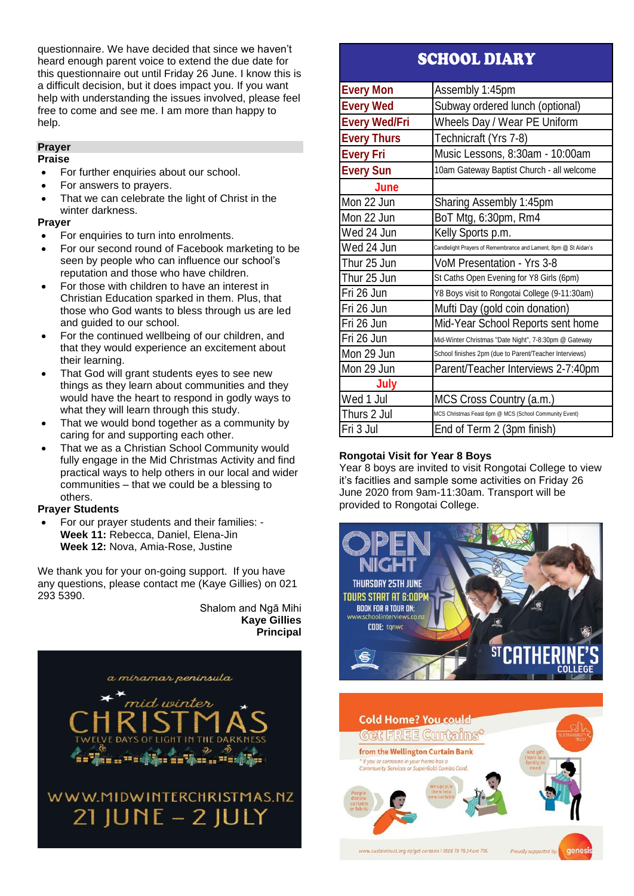questionnaire. We have decided that since we haven't heard enough parent voice to extend the due date for this questionnaire out until Friday 26 June. I know this is a difficult decision, but it does impact you. If you want help with understanding the issues involved, please feel free to come and see me. I am more than happy to help.

#### **Prayer**

#### **Praise**

- For further enquiries about our school.
- For answers to prayers.
- That we can celebrate the light of Christ in the winter darkness.

#### **Prayer**

- For enquiries to turn into enrolments.
- For our second round of Facebook marketing to be seen by people who can influence our school's reputation and those who have children.
- For those with children to have an interest in Christian Education sparked in them. Plus, that those who God wants to bless through us are led and guided to our school.
- For the continued wellbeing of our children, and that they would experience an excitement about their learning.
- That God will grant students eyes to see new things as they learn about communities and they would have the heart to respond in godly ways to what they will learn through this study.
- That we would bond together as a community by caring for and supporting each other.
- That we as a Christian School Community would fully engage in the Mid Christmas Activity and find practical ways to help others in our local and wider communities – that we could be a blessing to others.

#### **Prayer Students**

• For our prayer students and their families: - **Week 11:** Rebecca, Daniel, Elena-Jin **Week 12:** Nova, Amia-Rose, Justine

We thank you for your on-going support. If you have any questions, please contact me (Kaye Gillies) on 021 293 5390.

> Shalom and Ngā Mihi **Kaye Gillies Principal**



# SCHOOL DIARY

| <b>Every Mon</b>     | Assembly 1:45pm                                                 |
|----------------------|-----------------------------------------------------------------|
| <b>Every Wed</b>     | Subway ordered lunch (optional)                                 |
| <b>Every Wed/Fri</b> | Wheels Day / Wear PE Uniform                                    |
| <b>Every Thurs</b>   | Technicraft (Yrs 7-8)                                           |
| <b>Every Fri</b>     | Music Lessons, 8:30am - 10:00am                                 |
| <b>Every Sun</b>     | 10am Gateway Baptist Church - all welcome                       |
| June                 |                                                                 |
| Mon 22 Jun           | Sharing Assembly 1:45pm                                         |
| Mon 22 Jun           | BoT Mtg, 6:30pm, Rm4                                            |
| Wed 24 Jun           | Kelly Sports p.m.                                               |
| Wed 24 Jun           | Candlelight Prayers of Remembrance and Lament, 8pm @ St Aidan's |
| Thur 25 Jun          | VoM Presentation - Yrs 3-8                                      |
| Thur 25 Jun          | St Caths Open Evening for Y8 Girls (6pm)                        |
| Fri 26 Jun           | Y8 Boys visit to Rongotai College (9-11:30am)                   |
| Fri 26 Jun           | Mufti Day (gold coin donation)                                  |
| Fri 26 Jun           | Mid-Year School Reports sent home                               |
| Fri 26 Jun           | Mid-Winter Christmas "Date Night", 7-8:30pm @ Gateway           |
| Mon 29 Jun           | School finishes 2pm (due to Parent/Teacher Interviews)          |
| Mon 29 Jun           | Parent/Teacher Interviews 2-7:40pm                              |
| July                 |                                                                 |
| Wed 1 Jul            | MCS Cross Country (a.m.)                                        |
| Thurs 2 Jul          | MCS Christmas Feast 6pm @ MCS (School Community Event)          |
| Fri 3 Jul            | End of Term 2 (3pm finish)                                      |

#### **Rongotai Visit for Year 8 Boys**

Year 8 boys are invited to visit Rongotai College to view it's facitlies and sample some activities on Friday 26 June 2020 from 9am-11:30am. Transport will be provided to Rongotai College.



Proudly supported by

ww.sustaintrust.org.nz/get-curtains I 0508 78 78 24 ext 705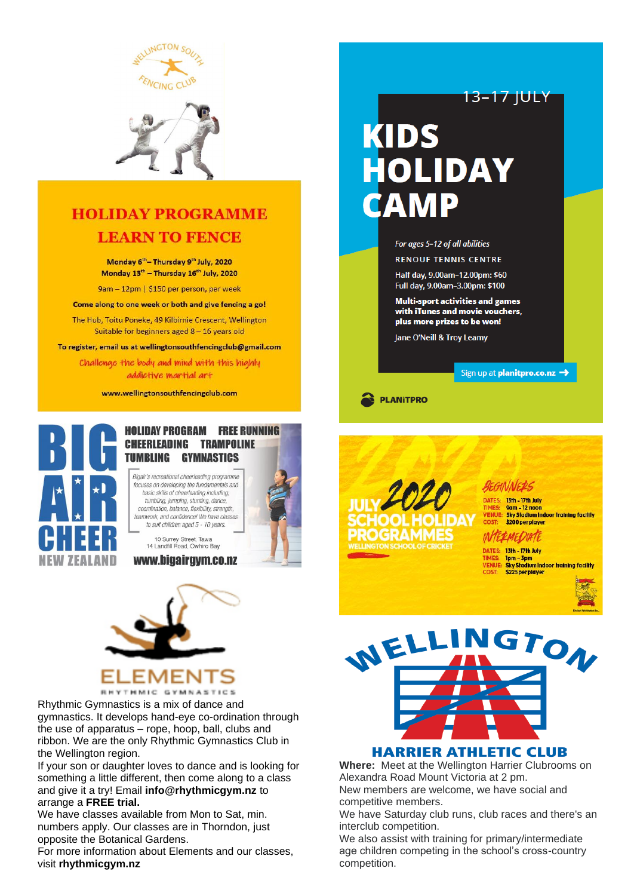



## **HOLIDAY PROGRAMME LEARN TO FENCE**

Monday 6<sup>th</sup> - Thursday 9<sup>th</sup> July, 2020 Monday 13<sup>th</sup> - Thursday 16<sup>th</sup> July, 2020

9am - 12pm | \$150 per person, per week

Come along to one week or both and give fencing a go!

The Hub, Toitu Poneke, 49 Kilbirnie Crescent, Wellington Suitable for beginners aged  $8 - 16$  years old

To register, email us at wellingtonsouthfencingclub@gmail.com

Challenge the body and mind with this highly addictive martial art

www.wellingtonsouthfencingclub.com



#### **HOLIDAY PROGRAM FREE RUNNING CHEERLEADING TRAMPOLINE TUMBLING GYMNASTICS**

Bigair's recreational cheerleading programme focuses on developing the fundamentals and basic skills of cheerleading including; tumbling, jumping, stunting, dance,<br>coordination, balance, flexibility, strength, teamwork, and confidence! We have classes to suit children aged 5 - 10 years.

10 Surrey Street, Tawa<br>14 Landfill Road, Owhiro Bay

#### www.bigairgym.co.nz



Rhythmic Gymnastics is a mix of dance and gymnastics. It develops hand-eye co-ordination through the use of apparatus – rope, hoop, ball, clubs and ribbon. We are the only Rhythmic Gymnastics Club in the Wellington region.

If your son or daughter loves to dance and is looking for something a little different, then come along to a class and give it a try! Email **info@rhythmicgym.nz** to arrange a **FREE trial.**

We have classes available from Mon to Sat, min. numbers apply. Our classes are in Thorndon, just opposite the Botanical Gardens.

For more information about Elements and our classes, visit **rhythmicgym.nz**

# KIDS **HOLIDAY CAMP**



**RENOUF TENNIS CENTRE** 

Half day, 9.00am-12.00pm: \$60 Full day, 9.00am-3.00pm: \$100

**Multi-sport activities and games** with iTunes and movie vouchers. plus more prizes to be won!

Jane O'Neill & Troy Leamy

#### Sign up at **planitpro.co.nz →**

13–17 JULY

**PLANITPRO** 



9am – 12 noon<br>Sky Stadium Indoor training facility \$200 per player INTERMEDIATE

13th - 17th July

DATES: 13th - 17th July 1pm – 3pm<br>Sky Stadium Indoor training facility \$225 per player





#### **HARRIER ATHLETIC CLUB**

**Where:** Meet at the Wellington Harrier Clubrooms on Alexandra Road Mount Victoria at 2 pm. New members are welcome, we have social and competitive members.

We have Saturday club runs, club races and there's an interclub competition.

We also assist with training for primary/intermediate age children competing in the school's cross-country competition.